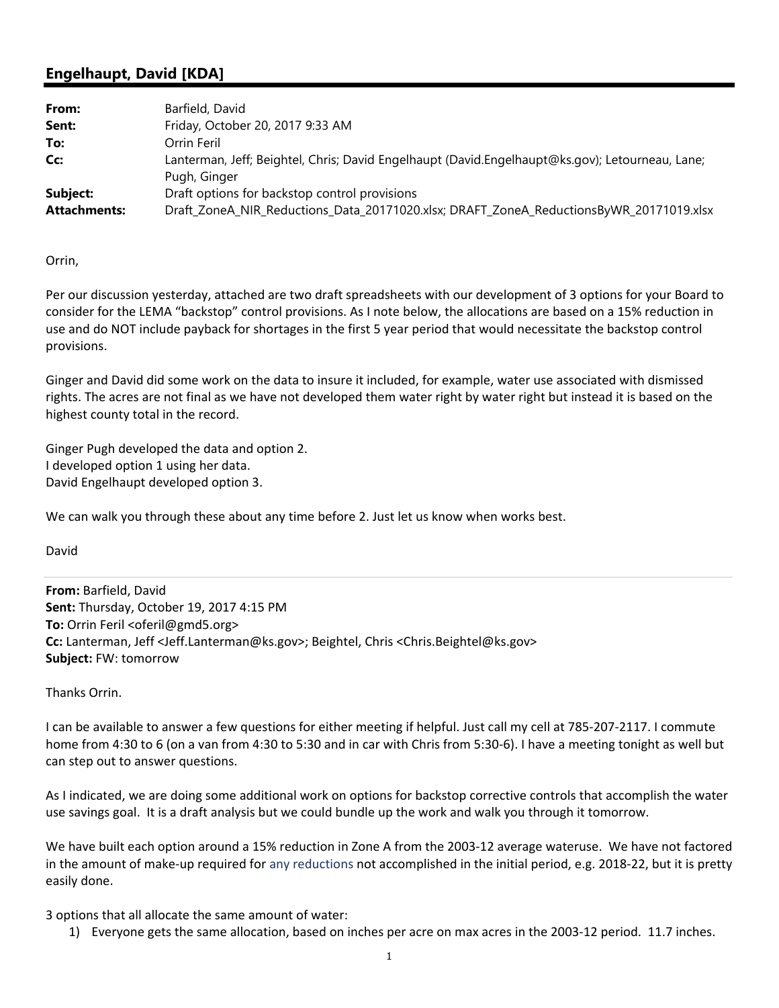## **Engelhaupt, David [KDA]**

| From:               | Barfield, David                                                                                                 |  |
|---------------------|-----------------------------------------------------------------------------------------------------------------|--|
| Sent:               | Friday, October 20, 2017 9:33 AM                                                                                |  |
| To:                 | Orrin Feril                                                                                                     |  |
| Cc:                 | Lanterman, Jeff; Beightel, Chris; David Engelhaupt (David.Engelhaupt@ks.gov); Letourneau, Lane;<br>Pugh, Ginger |  |
| Subject:            | Draft options for backstop control provisions                                                                   |  |
| <b>Attachments:</b> | Draft_ZoneA_NIR_Reductions_Data_20171020.xlsx; DRAFT_ZoneA_ReductionsByWR_20171019.xlsx                         |  |

Orrin,

Per our discussion yesterday, attached are two draft spreadsheets with our development of 3 options for your Board to consider for the LEMA "backstop" control provisions. As I note below, the allocations are based on a 15% reduction in use and do NOT include payback for shortages in the first 5 year period that would necessitate the backstop control provisions.

Ginger and David did some work on the data to insure it included, for example, water use associated with dismissed rights. The acres are not final as we have not developed them water right by water right but instead it is based on the highest county total in the record.

Ginger Pugh developed the data and option 2. I developed option 1 using her data. David Engelhaupt developed option 3.

We can walk you through these about any time before 2. Just let us know when works best.

David

**From:** Barfield, David **Sent:** Thursday, October 19, 2017 4:15 PM **To:** Orrin Feril <oferil@gmd5.org> **Cc:** Lanterman, Jeff <Jeff.Lanterman@ks.gov>; Beightel, Chris <Chris.Beightel@ks.gov> **Subject:** FW: tomorrow

Thanks Orrin.

I can be available to answer a few questions for either meeting if helpful. Just call my cell at 785‐207‐2117. I commute home from 4:30 to 6 (on a van from 4:30 to 5:30 and in car with Chris from 5:30-6). I have a meeting tonight as well but can step out to answer questions.

As I indicated, we are doing some additional work on options for backstop corrective controls that accomplish the water use savings goal. It is a draft analysis but we could bundle up the work and walk you through it tomorrow.

We have built each option around a 15% reduction in Zone A from the 2003-12 average wateruse. We have not factored in the amount of make‐up required for any reductions not accomplished in the initial period, e.g. 2018‐22, but it is pretty easily done.

3 options that all allocate the same amount of water:

1) Everyone gets the same allocation, based on inches per acre on max acres in the 2003‐12 period. 11.7 inches.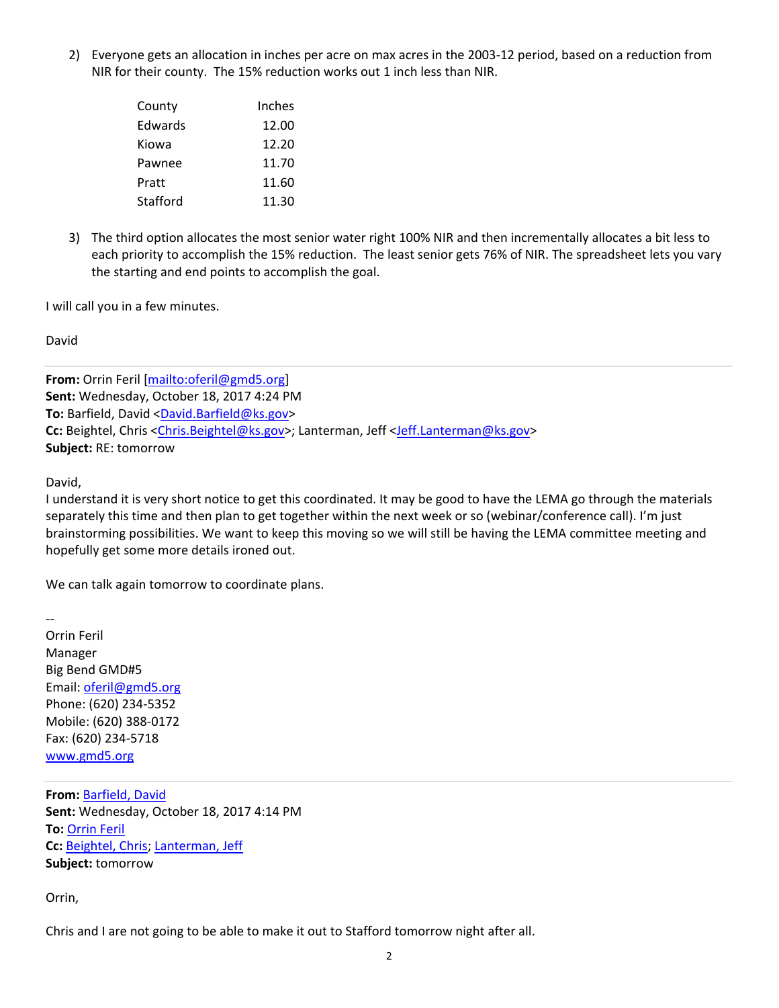2) Everyone gets an allocation in inches per acre on max acres in the 2003‐12 period, based on a reduction from NIR for their county. The 15% reduction works out 1 inch less than NIR.

| County   | Inches |
|----------|--------|
| Edwards  | 12.00  |
| Kiowa    | 12.20  |
| Pawnee   | 11.70  |
| Pratt    | 11.60  |
| Stafford | 11.30  |

3) The third option allocates the most senior water right 100% NIR and then incrementally allocates a bit less to each priority to accomplish the 15% reduction. The least senior gets 76% of NIR. The spreadsheet lets you vary the starting and end points to accomplish the goal.

I will call you in a few minutes.

David

**From:** Orrin Feril [mailto:oferil@gmd5.org] **Sent:** Wednesday, October 18, 2017 4:24 PM **To:** Barfield, David <David.Barfield@ks.gov> Cc: Beightel, Chris <Chris.Beightel@ks.gov>; Lanterman, Jeff <Jeff.Lanterman@ks.gov> **Subject:** RE: tomorrow

David,

I understand it is very short notice to get this coordinated. It may be good to have the LEMA go through the materials separately this time and then plan to get together within the next week or so (webinar/conference call). I'm just brainstorming possibilities. We want to keep this moving so we will still be having the LEMA committee meeting and hopefully get some more details ironed out.

We can talk again tomorrow to coordinate plans.

‐‐ Orrin Feril Manager Big Bend GMD#5 Email: oferil@gmd5.org Phone: (620) 234‐5352 Mobile: (620) 388‐0172 Fax: (620) 234‐5718 www.gmd5.org

**From:** Barfield, David **Sent:** Wednesday, October 18, 2017 4:14 PM **To:** Orrin Feril **Cc:** Beightel, Chris; Lanterman, Jeff **Subject:** tomorrow

Orrin,

Chris and I are not going to be able to make it out to Stafford tomorrow night after all.